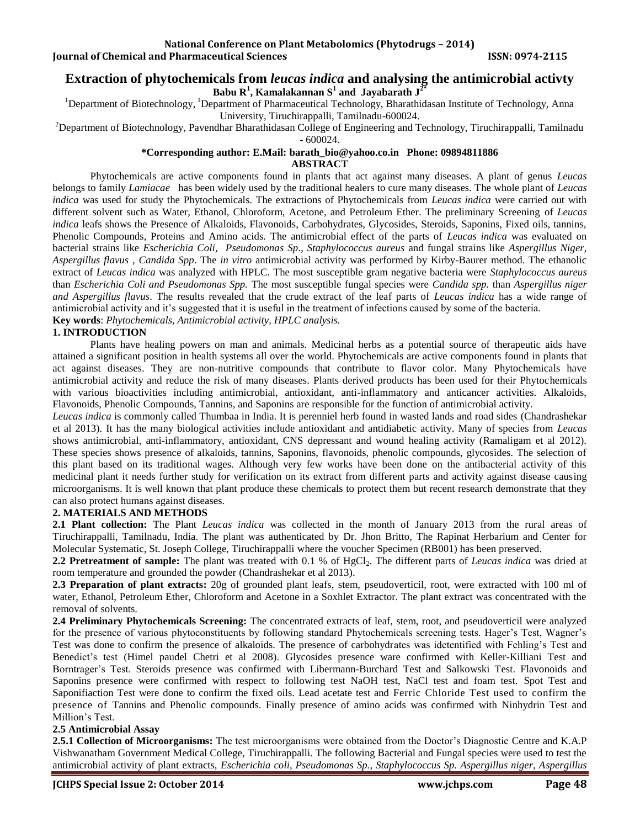# **Extraction of phytochemicals from** *leucas indica* **and analysing the antimicrobial activty Babu R<sup>1</sup> , Kamalakannan S<sup>1</sup> and Jayabarath J2\***

<sup>1</sup>Department of Biotechnology, <sup>1</sup>Department of Pharmaceutical Technology, Bharathidasan Institute of Technology, Anna University, Tiruchirappalli, Tamilnadu-600024.

 ${}^{2}$ Department of Biotechnology, Pavendhar Bharathidasan College of Engineering and Technology, Tiruchirappalli, Tamilnadu - 600024.

# **\*Corresponding author: E.Mail: [barath\\_bio@yahoo.co.in](mailto:barath_bio@yahoo.co.in) Phone: 09894811886**

**ABSTRACT**

Phytochemicals are active components found in plants that act against many diseases. A plant of genus *Leucas* belongs to family *Lamiacae* has been widely used by the traditional healers to cure many diseases. The whole plant of *Leucas indica* was used for study the Phytochemicals. The extractions of Phytochemicals from *Leucas indica* were carried out with different solvent such as Water, Ethanol, Chloroform, Acetone, and Petroleum Ether. The preliminary Screening of *Leucas indica* leafs shows the Presence of Alkaloids, Flavonoids, Carbohydrates, Glycosides, Steroids, Saponins, Fixed oils, tannins, Phenolic Compounds, Proteins and Amino acids. The antimicrobial effect of the parts of *Leucas indica* was evaluated on bacterial strains like *Escherichia Coli*, *Pseudomonas Sp*., *Staphylococcus aureus* and fungal strains like *Aspergillus Niger*, *Aspergillus flavus* , *Candida Spp*. The *in vitro* antimicrobial activity was performed by Kirby-Baurer method. The ethanolic extract of *Leucas indica* was analyzed with HPLC. The most susceptible gram negative bacteria were *Staphylococcus aureus*  than *Escherichia Coli and Pseudomonas Spp.* The most susceptible fungal species were *Candida spp.* than *Aspergillus niger and Aspergillus flavus*. The results revealed that the crude extract of the leaf parts of *Leucas indica* has a wide range of antimicrobial activity and it's suggested that it is useful in the treatment of infections caused by some of the bacteria. **Key words**: *Phytochemicals, Antimicrobial activity, HPLC analysis.* 

# **1. INTRODUCTION**

Plants have healing powers on man and animals. Medicinal herbs as a potential source of therapeutic aids have attained a significant position in health systems all over the world. Phytochemicals are active components found in plants that act against diseases. They are non-nutritive compounds that contribute to flavor color. Many Phytochemicals have antimicrobial activity and reduce the risk of many diseases. Plants derived products has been used for their Phytochemicals with various bioactivities including antimicrobial, antioxidant, anti-inflammatory and anticancer activities. Alkaloids, Flavonoids, Phenolic Compounds, Tannins, and Saponins are responsible for the function of antimicrobial activity.

*Leucas indica* is commonly called Thumbaa in India. It is perenniel herb found in wasted lands and road sides (Chandrashekar et al 2013). It has the many biological activities include antioxidant and antidiabetic activity. Many of species from *Leucas* shows antimicrobial, anti-inflammatory, antioxidant, CNS depressant and wound healing activity (Ramaligam et al 2012). These species shows presence of alkaloids, tannins, Saponins, flavonoids, phenolic compounds, glycosides. The selection of this plant based on its traditional wages. Although very few works have been done on the antibacterial activity of this medicinal plant it needs further study for verification on its extract from different parts and activity against disease causing microorganisms. It is well known that plant produce these chemicals to protect them but recent research demonstrate that they can also protect humans against diseases.

# **2. MATERIALS AND METHODS**

**2.1 Plant collection:** The Plant *Leucas indica* was collected in the month of January 2013 from the rural areas of Tiruchirappalli, Tamilnadu, India. The plant was authenticated by Dr. Jhon Britto, The Rapinat Herbarium and Center for Molecular Systematic, St. Joseph College, Tiruchirappalli where the voucher Specimen (RB001) has been preserved.

**2.2 Pretreatment of sample:** The plant was treated with 0.1 % of HgCl<sub>2</sub>. The different parts of *Leucas indica* was dried at room temperature and grounded the powder (Chandrashekar et al 2013).

**2.3 Preparation of plant extracts:** 20g of grounded plant leafs, stem, pseudoverticil, root, were extracted with 100 ml of water, Ethanol, Petroleum Ether, Chloroform and Acetone in a Soxhlet Extractor. The plant extract was concentrated with the removal of solvents.

**2.4 Preliminary Phytochemicals Screening:** The concentrated extracts of leaf, stem, root, and pseudoverticil were analyzed for the presence of various phytoconstituents by following standard Phytochemicals screening tests. Hager's Test, Wagner's Test was done to confirm the presence of alkaloids. The presence of carbohydrates was idetentified with Fehling's Test and Benedict's test (Himel paudel Chetri et al 2008). Glycosides presence ware confirmed with Keller-Killiani Test and Borntrager's Test. Steroids presence was confirmed with Libermann-Burchard Test and Salkowski Test. Flavonoids and Saponins presence were confirmed with respect to following test NaOH test, NaCl test and foam test. Spot Test and Saponifiaction Test were done to confirm the fixed oils. Lead acetate test and Ferric Chloride Test used to confirm the presence of Tannins and Phenolic compounds. Finally presence of amino acids was confirmed with Ninhydrin Test and Million's Test.

### **2.5 Antimicrobial Assay**

**2.5.1 Collection of Microorganisms:** The test microorganisms were obtained from the Doctor's Diagnostic Centre and K.A.P Vishwanatham Government Medical College, Tiruchirappalli. The following Bacterial and Fungal species were used to test the antimicrobial activity of plant extracts, *Escherichia coli, Pseudomonas Sp., Staphylococcus Sp. Aspergillus niger, Aspergillus*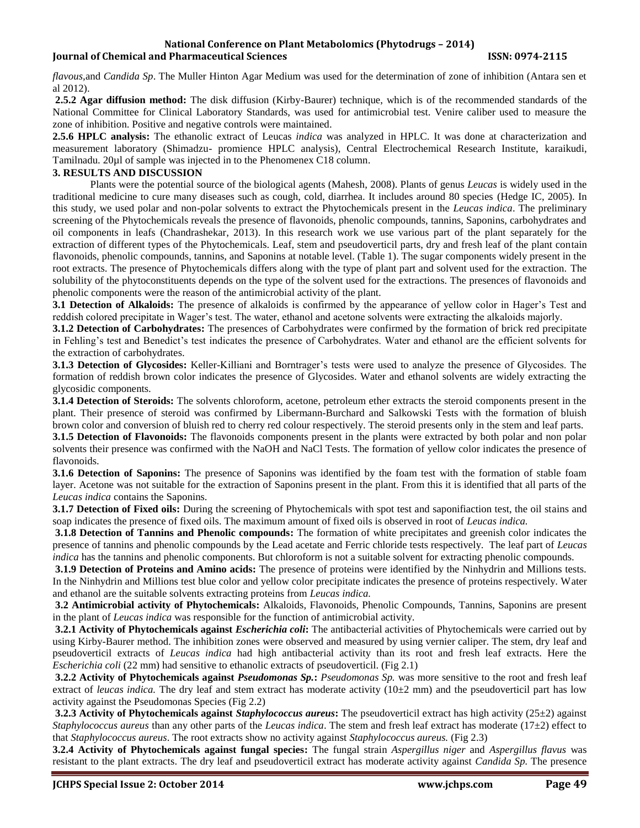#### **National Conference on Plant Metabolomics (Phytodrugs – 2014) Iournal of Chemical and Pharmaceutical Sciences ISSN: 0974-2115**

*flavous,*and *Candida Sp*. The Muller Hinton Agar Medium was used for the determination of zone of inhibition (Antara sen et al 2012).

**2.5.2 Agar diffusion method:** The disk diffusion (Kirby-Baurer) technique, which is of the recommended standards of the National Committee for Clinical Laboratory Standards, was used for antimicrobial test. Venire caliber used to measure the zone of inhibition. Positive and negative controls were maintained.

**2.5.6 HPLC analysis:** The ethanolic extract of Leucas *indica* was analyzed in HPLC. It was done at characterization and measurement laboratory (Shimadzu- promience HPLC analysis), Central Electrochemical Research Institute, karaikudi, Tamilnadu. 20µl of sample was injected in to the Phenomenex C18 column.

### **3. RESULTS AND DISCUSSION**

Plants were the potential source of the biological agents (Mahesh, 2008). Plants of genus *Leucas* is widely used in the traditional medicine to cure many diseases such as cough, cold, diarrhea. It includes around 80 species (Hedge IC, 2005). In this study, we used polar and non-polar solvents to extract the Phytochemicals present in the *Leucas indica*. The preliminary screening of the Phytochemicals reveals the presence of flavonoids, phenolic compounds, tannins, Saponins, carbohydrates and oil components in leafs (Chandrashekar, 2013). In this research work we use various part of the plant separately for the extraction of different types of the Phytochemicals. Leaf, stem and pseudoverticil parts, dry and fresh leaf of the plant contain flavonoids, phenolic compounds, tannins, and Saponins at notable level. (Table 1). The sugar components widely present in the root extracts. The presence of Phytochemicals differs along with the type of plant part and solvent used for the extraction. The solubility of the phytoconstituents depends on the type of the solvent used for the extractions. The presences of flavonoids and phenolic components were the reason of the antimicrobial activity of the plant.

**3.1 Detection of Alkaloids:** The presence of alkaloids is confirmed by the appearance of yellow color in Hager's Test and reddish colored precipitate in Wager's test. The water, ethanol and acetone solvents were extracting the alkaloids majorly.

**3.1.2 Detection of Carbohydrates:** The presences of Carbohydrates were confirmed by the formation of brick red precipitate in Fehling's test and Benedict's test indicates the presence of Carbohydrates. Water and ethanol are the efficient solvents for the extraction of carbohydrates.

**3.1.3 Detection of Glycosides:** Keller-Killiani and Borntrager's tests were used to analyze the presence of Glycosides. The formation of reddish brown color indicates the presence of Glycosides. Water and ethanol solvents are widely extracting the glycosidic components.

**3.1.4 Detection of Steroids:** The solvents chloroform, acetone, petroleum ether extracts the steroid components present in the plant. Their presence of steroid was confirmed by Libermann-Burchard and Salkowski Tests with the formation of bluish brown color and conversion of bluish red to cherry red colour respectively. The steroid presents only in the stem and leaf parts.

**3.1.5 Detection of Flavonoids:** The flavonoids components present in the plants were extracted by both polar and non polar solvents their presence was confirmed with the NaOH and NaCl Tests. The formation of yellow color indicates the presence of flavonoids.

**3.1.6 Detection of Saponins:** The presence of Saponins was identified by the foam test with the formation of stable foam layer. Acetone was not suitable for the extraction of Saponins present in the plant. From this it is identified that all parts of the *Leucas indica* contains the Saponins.

**3.1.7 Detection of Fixed oils:** During the screening of Phytochemicals with spot test and saponifiaction test, the oil stains and soap indicates the presence of fixed oils. The maximum amount of fixed oils is observed in root of *Leucas indica.*

**3.1.8 Detection of Tannins and Phenolic compounds:** The formation of white precipitates and greenish color indicates the presence of tannins and phenolic compounds by the Lead acetate and Ferric chloride tests respectively. The leaf part of *Leucas indica* has the tannins and phenolic components. But chloroform is not a suitable solvent for extracting phenolic compounds.

**3.1.9 Detection of Proteins and Amino acids:** The presence of proteins were identified by the Ninhydrin and Millions tests. In the Ninhydrin and Millions test blue color and yellow color precipitate indicates the presence of proteins respectively. Water and ethanol are the suitable solvents extracting proteins from *Leucas indica.* 

**3.2 Antimicrobial activity of Phytochemicals:** Alkaloids, Flavonoids, Phenolic Compounds, Tannins, Saponins are present in the plant of *Leucas indica* was responsible for the function of antimicrobial activity.

**3.2.1 Activity of Phytochemicals against** *Escherichia coli***:** The antibacterial activities of Phytochemicals were carried out by using Kirby-Baurer method. The inhibition zones were observed and measured by using vernier caliper. The stem, dry leaf and pseudoverticil extracts of *Leucas indica* had high antibacterial activity than its root and fresh leaf extracts. Here the *Escherichia coli* (22 mm) had sensitive to ethanolic extracts of pseudoverticil. (Fig 2.1)

**3.2.2 Activity of Phytochemicals against** *Pseudomonas Sp.***:** *Pseudomonas Sp.* was more sensitive to the root and fresh leaf extract of *leucas indica*. The dry leaf and stem extract has moderate activity  $(10\pm2 \text{ mm})$  and the pseudoverticil part has low activity against the Pseudomonas Species (Fig 2.2)

**3.2.3 Activity of Phytochemicals against** *Staphylococcus aureus***:** The pseudoverticil extract has high activity (25±2) against *Staphylococcus aureus* than any other parts of the *Leucas indica*. The stem and fresh leaf extract has moderate (17±2) effect to that *Staphylococcus aureus*. The root extracts show no activity against *Staphylococcus aureus.* (Fig 2.3)

**3.2.4 Activity of Phytochemicals against fungal species:** The fungal strain *Aspergillus niger* and *Aspergillus flavus* was resistant to the plant extracts. The dry leaf and pseudoverticil extract has moderate activity against *Candida Sp.* The presence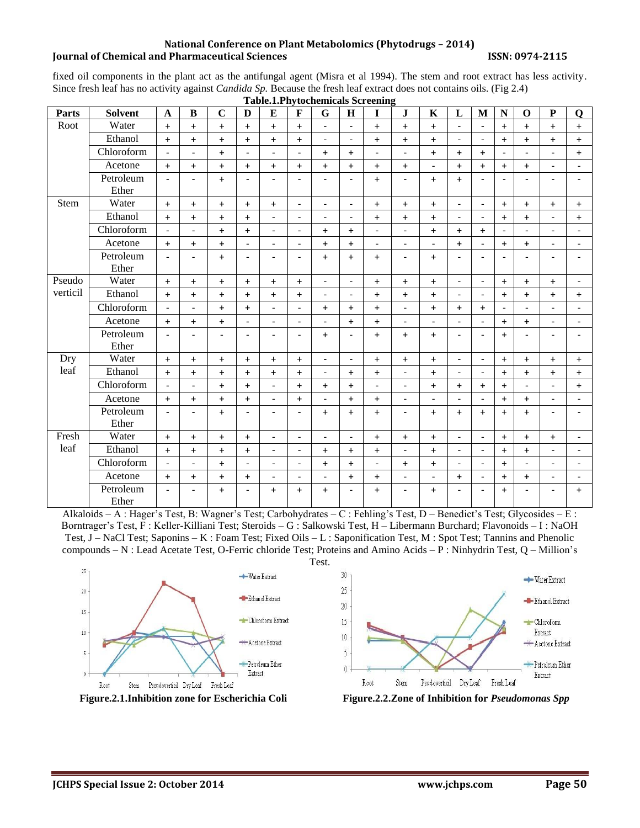#### **National Conference on Plant Metabolomics (Phytodrugs – 2014) Journal of Chemical and Pharmaceutical Sciences ISSN: 0974-2115**

fixed oil components in the plant act as the antifungal agent (Misra et al 1994). The stem and root extract has less activity. Since fresh leaf has no activity against *Candida Sp.* Because the fresh leaf extract does not contains oils. (Fig 2.4)

|                    | <b>Table.1.Phytochemicals Screening</b> |                          |                          |                          |                          |                          |                          |                          |                          |                          |                          |                          |                              |                          |                          |                          |                          |                          |
|--------------------|-----------------------------------------|--------------------------|--------------------------|--------------------------|--------------------------|--------------------------|--------------------------|--------------------------|--------------------------|--------------------------|--------------------------|--------------------------|------------------------------|--------------------------|--------------------------|--------------------------|--------------------------|--------------------------|
| Parts              | <b>Solvent</b>                          | $\mathbf A$              | $\, {\bf B}$             | $\mathbf C$              | D                        | E                        | $\mathbf F$              | G                        | H                        | I                        | J                        | $\mathbf K$              | L                            | $\mathbf{M}$             | N                        | $\mathbf 0$              | ${\bf P}$                | Q                        |
| Root               | Water                                   | $\ddot{}$                | $\ddot{}$                | $+$                      | $\ddot{}$                | $+$                      | $+$                      | $\bar{\phantom{a}}$      | $\overline{\phantom{a}}$ | $+$                      | $\ddot{+}$               | $+$                      | $\overline{\phantom{0}}$     | $\overline{\phantom{a}}$ | $\ddot{}$                | $+$                      | $+$                      | $+$                      |
|                    | Ethanol                                 | $\ddot{}$                | $\ddot{}$                | $\ddot{}$                | $\ddot{}$                | $\ddot{}$                | $\ddot{}$                | $\overline{\phantom{a}}$ | $\blacksquare$           | $\ddot{}$                | $\ddot{}$                | $\ddot{}$                | $\qquad \qquad \blacksquare$ | $\overline{a}$           | $\ddot{}$                | $\ddot{}$                | $\ddot{}$                | $\ddot{}$                |
|                    | Chloroform                              | $\overline{a}$           | $\overline{\phantom{a}}$ | $\ddot{}$                | $\overline{a}$           | $\overline{\phantom{a}}$ | $\overline{\phantom{a}}$ | $\ddot{}$                | $+$                      | $\overline{\phantom{a}}$ | $\overline{\phantom{a}}$ | $+$                      | $\ddot{}$                    | $+$                      | $\overline{\phantom{a}}$ |                          | $\overline{a}$           | $+$                      |
|                    | Acetone                                 | $+$                      | $+$                      | $+$                      | $\ddot{}$                | $\ddot{}$                | $+$                      | $+$                      | $+$                      | $\ddot{}$                | $+$                      | $\frac{1}{2}$            | $\ddot{}$                    | $+$                      | $\ddot{}$                | $\ddot{}$                | $\overline{a}$           |                          |
|                    | Petroleum<br>Ether                      | $\overline{a}$           | $\blacksquare$           | $\ddot{}$                | $\overline{a}$           | $\blacksquare$           | $\blacksquare$           | $\overline{\phantom{a}}$ | $\overline{a}$           | $\ddot{}$                | $\blacksquare$           | $+$                      | $\ddot{}$                    | $\blacksquare$           | $\tilde{\phantom{a}}$    | $\overline{\phantom{a}}$ | $\overline{\phantom{a}}$ | $\overline{a}$           |
| Stem               | Water                                   | $\ddot{}$                | $\ddot{}$                | $\ddot{}$                | $\ddot{}$                | $\ddot{}$                | $\overline{\phantom{a}}$ | $\overline{\phantom{a}}$ | $\blacksquare$           | $\ddot{}$                | $\ddot{}$                | $+$                      | $\overline{\phantom{a}}$     | $\overline{\phantom{a}}$ | $\ddot{}$                | $\ddot{}$                | $\ddot{}$                | $+$                      |
|                    | Ethanol                                 | $\ddot{}$                | $\ddot{}$                | $\ddot{}$                | $\ddot{}$                | $\blacksquare$           | $\overline{\phantom{a}}$ | $\overline{\phantom{a}}$ | $\blacksquare$           | $+$                      | $\ddot{}$                | $+$                      | $\overline{\phantom{a}}$     | $\blacksquare$           | $\ddot{}$                | $+$                      | $\blacksquare$           | $+$                      |
|                    | Chloroform                              | $\overline{\phantom{a}}$ | $\overline{\phantom{a}}$ | $\ddot{}$                | $\ddot{}$                | $\blacksquare$           | $\overline{\phantom{a}}$ | $\ddot{}$                | $\ddot{}$                | $\overline{\phantom{0}}$ | $\overline{\phantom{a}}$ | $+$                      | $\ddot{}$                    | $+$                      | $\overline{a}$           |                          | $\overline{a}$           | $\overline{\phantom{a}}$ |
|                    | Acetone                                 | $\ddot{}$                | $+$                      | $+$                      | $\overline{\phantom{a}}$ | $\blacksquare$           | $\overline{\phantom{a}}$ | $\ddot{}$                | $+$                      | $\overline{\phantom{a}}$ | $\overline{\phantom{a}}$ | $\blacksquare$           | $+$                          | $\blacksquare$           | $+$                      | $+$                      | $\blacksquare$           | $\blacksquare$           |
|                    | Petroleum<br>Ether                      | $\overline{\phantom{a}}$ | $\overline{\phantom{a}}$ | $+$                      | $\overline{\phantom{a}}$ | $\overline{\phantom{a}}$ | $\overline{\phantom{0}}$ | $\ddot{}$                | $+$                      | $+$                      | $\overline{\phantom{a}}$ | $+$                      | $\overline{a}$               | $\overline{\phantom{a}}$ | $\overline{\phantom{a}}$ | $\overline{\phantom{a}}$ | $\overline{\phantom{a}}$ |                          |
| Pseudo<br>verticil | Water                                   | $\ddot{}$                | $\ddot{}$                | $\ddot{}$                | $\ddot{}$                | $\ddot{}$                | $+$                      | $\overline{\phantom{a}}$ | $\blacksquare$           | $+$                      | $\ddot{}$                | $+$                      | $\overline{\phantom{a}}$     | $\blacksquare$           | $\ddot{}$                | $+$                      | $\ddot{}$                | $\blacksquare$           |
|                    | Ethanol                                 | $\ddot{}$                | $+$                      | $+$                      | $\ddot{}$                | $+$                      | $+$                      | $\overline{\phantom{a}}$ | $\overline{\phantom{a}}$ | $\ddot{}$                | $\ddot{}$                | $+$                      | $\overline{\phantom{a}}$     | $\blacksquare$           | $+$                      | $\ddot{}$                | $\ddot{}$                | $+$                      |
|                    | Chloroform                              | $\overline{\phantom{a}}$ | $\overline{a}$           | $+$                      | $\ddot{}$                | $\overline{a}$           | $\blacksquare$           | $+$                      | $+$                      | $\ddot{}$                | $\blacksquare$           | $+$                      | $\ddot{}$                    | $+$                      | $\overline{\phantom{a}}$ | $\overline{a}$           | $\overline{\phantom{a}}$ | $\blacksquare$           |
|                    | Acetone                                 | $\ddot{}$                | $+$                      | $\ddot{}$                | $\overline{a}$           | $\overline{\phantom{a}}$ | $\overline{\phantom{0}}$ | $\overline{\phantom{a}}$ | $+$                      | $\ddot{}$                | $\overline{\phantom{a}}$ | $\overline{a}$           | $\overline{a}$               |                          | $+$                      | $+$                      | $\overline{\phantom{a}}$ | $\overline{\phantom{a}}$ |
|                    | Petroleum<br>Ether                      | $\overline{\phantom{a}}$ | $\overline{\phantom{a}}$ | $\overline{\phantom{a}}$ | $\overline{\phantom{a}}$ | $\overline{\phantom{a}}$ | $\overline{\phantom{0}}$ | $\ddot{}$                | $\overline{a}$           | $+$                      | $\ddot{}$                | $+$                      | $\overline{\phantom{a}}$     | $\overline{a}$           | $\ddot{}$                | $\overline{\phantom{a}}$ | $\overline{\phantom{a}}$ | $\overline{\phantom{a}}$ |
| Dry<br>leaf        | Water                                   | $+$                      | $+$                      | $+$                      | $+$                      | $+$                      | $+$                      | $\overline{\phantom{a}}$ | $\blacksquare$           | $+$                      | $+$                      | $+$                      | $\overline{\phantom{a}}$     | $\overline{\phantom{a}}$ | $+$                      | $+$                      | $+$                      | $+$                      |
|                    | Ethanol                                 | $\ddot{}$                | $\ddot{}$                | $\ddot{}$                | $\ddot{}$                | $\ddot{}$                | $\ddot{}$                | $\overline{\phantom{a}}$ | $+$                      | $\ddot{}$                | $\overline{\phantom{a}}$ | $\ddot{}$                | $\overline{\phantom{a}}$     | $\blacksquare$           | $\ddot{}$                | $+$                      | $+$                      | $+$                      |
|                    | $\overline{\text{Chloroform}}$          | $\overline{\phantom{0}}$ | $\overline{a}$           | $+$                      | $+$                      | $\overline{a}$           | $+$                      | $+$                      | $+$                      | $\overline{a}$           | $\overline{a}$           | $+$                      | $+$                          | $+$                      | $+$                      | $\overline{\phantom{a}}$ | $\overline{\phantom{a}}$ | $+$                      |
|                    | Acetone                                 | $\ddot{}$                | $+$                      | $\ddot{}$                | $\ddot{}$                | $\overline{\phantom{a}}$ | $\ddot{}$                | $\blacksquare$           | $\ddot{}$                | $\ddot{}$                | $\overline{\phantom{a}}$ | $\overline{\phantom{a}}$ | $\overline{a}$               |                          | $+$                      | $\ddot{}$                | $\overline{\phantom{a}}$ | $\overline{\phantom{a}}$ |
|                    | Petroleum<br>Ether                      | $\overline{a}$           | $\overline{\phantom{a}}$ | $\ddot{}$                | $\overline{\phantom{a}}$ | $\overline{\phantom{a}}$ | $\overline{\phantom{a}}$ | $\ddot{}$                | $+$                      | $\ddot{}$                | $\overline{\phantom{a}}$ | $+$                      | $\ddot{}$                    | $+$                      | $+$                      | $+$                      | $\overline{\phantom{a}}$ | $\overline{\phantom{a}}$ |
| Fresh<br>leaf      | Water                                   | $\ddot{}$                | $\ddot{}$                | $\ddot{}$                | $+$                      | $\blacksquare$           | $\overline{\phantom{a}}$ | $\overline{\phantom{a}}$ | $\blacksquare$           | $+$                      | $+$                      | $+$                      | $\blacksquare$               | $\overline{a}$           | $\ddot{}$                | $+$                      | $+$                      | $\overline{\phantom{a}}$ |
|                    | Ethanol                                 | $+$                      | $+$                      | $+$                      | $\ddot{}$                | $\overline{\phantom{a}}$ | $\overline{\phantom{a}}$ | $+$                      | $+$                      | $+$                      | $\blacksquare$           | $+$                      | $\overline{\phantom{a}}$     | $\overline{\phantom{a}}$ | $+$                      | $+$                      | $\overline{\phantom{a}}$ | $\overline{\phantom{a}}$ |
|                    | Chloroform                              | $\overline{\phantom{a}}$ | $\overline{\phantom{a}}$ | $\ddot{}$                | $\overline{\phantom{a}}$ | $\blacksquare$           | $\overline{\phantom{a}}$ | $\ddot{}$                | $\ddot{}$                | $\overline{\phantom{a}}$ | $\ddot{}$                | $+$                      | $\overline{\phantom{a}}$     | $\blacksquare$           | $\ddot{}$                | $\overline{\phantom{a}}$ | $\blacksquare$           | $\blacksquare$           |
|                    | Acetone                                 | $\ddot{}$                | $\ddot{}$                | $\ddot{}$                | $\ddot{}$                | $\overline{\phantom{a}}$ | $\overline{\phantom{a}}$ | $\overline{\phantom{a}}$ | $+$                      | $\ddot{}$                | $\overline{\phantom{a}}$ | $\frac{1}{2}$            | $\ddot{}$                    | $\blacksquare$           | $\ddot{}$                | $\ddot{}$                | $\overline{\phantom{a}}$ | $\blacksquare$           |
|                    | Petroleum<br>Ether                      | $\overline{\phantom{a}}$ | $\overline{\phantom{a}}$ | $\ddot{}$                | $\overline{\phantom{a}}$ | $\ddot{}$                | $\ddot{}$                | $\ddot{}$                |                          | $\ddot{}$                | $\overline{a}$           | $\ddot{}$                | $\overline{\phantom{a}}$     |                          | $\ddot{}$                | $\overline{\phantom{0}}$ |                          | $+$                      |

Alkaloids – A : Hager's Test, B: Wagner's Test; Carbohydrates – C : Fehling's Test, D – Benedict's Test; Glycosides – E : Borntrager's Test, F : Keller-Killiani Test; Steroids – G : Salkowski Test, H – Libermann Burchard; Flavonoids – I : NaOH Test, J – NaCl Test; Saponins – K : Foam Test; Fixed Oils – L : Saponification Test, M : Spot Test; Tannins and Phenolic compounds – N : Lead Acetate Test, O-Ferric chloride Test; Proteins and Amino Acids – P : Ninhydrin Test, Q – Million's

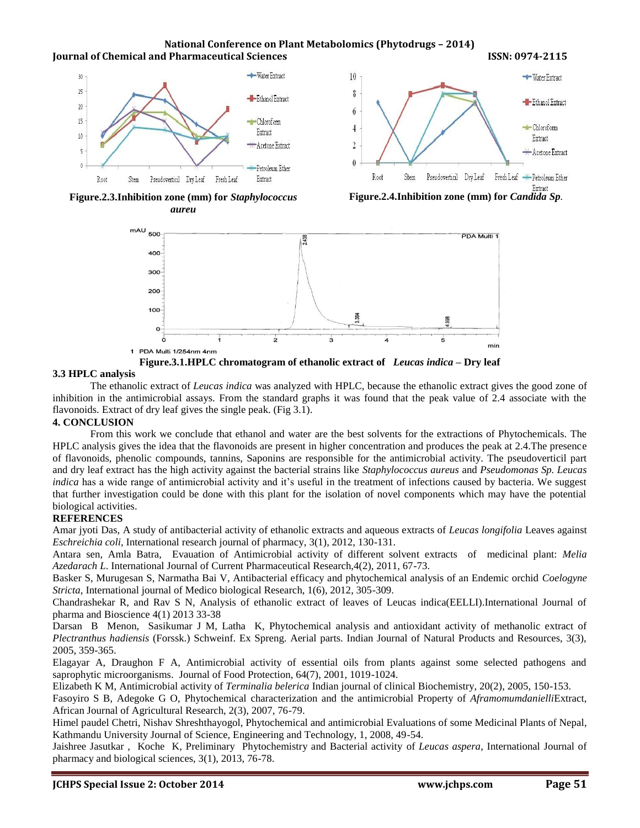**National Conference on Plant Metabolomics (Phytodrugs – 2014) Iournal of Chemical and Pharmaceutical Sciences ISSN: 0974-2115** 



**Figure.2.3.Inhibition zone (mm) for** *Staphylococcus aureu*

**Figure.2.4.Inhibition zone (mm) for** *Candida Sp.*



**Figure.3.1.HPLC chromatogram of ethanolic extract of** *Leucas indica –* **Dry leaf**

#### **3.3 HPLC analysis**

The ethanolic extract of *Leucas indica* was analyzed with HPLC, because the ethanolic extract gives the good zone of inhibition in the antimicrobial assays. From the standard graphs it was found that the peak value of 2.4 associate with the flavonoids. Extract of dry leaf gives the single peak. (Fig 3.1).

### **4. CONCLUSION**

From this work we conclude that ethanol and water are the best solvents for the extractions of Phytochemicals. The HPLC analysis gives the idea that the flavonoids are present in higher concentration and produces the peak at 2.4.The presence of flavonoids, phenolic compounds, tannins, Saponins are responsible for the antimicrobial activity. The pseudoverticil part and dry leaf extract has the high activity against the bacterial strains like *Staphylococcus aureus* and *Pseudomonas Sp. Leucas indica* has a wide range of antimicrobial activity and it's useful in the treatment of infections caused by bacteria. We suggest that further investigation could be done with this plant for the isolation of novel components which may have the potential biological activities.

### **REFERENCES**

Amar jyoti Das, A study of antibacterial activity of ethanolic extracts and aqueous extracts of *Leucas longifolia* Leaves against *Eschreichia coli*, International research journal of pharmacy, 3(1), 2012, 130-131.

Antara sen, Amla Batra, Evauation of Antimicrobial activity of different solvent extracts of medicinal plant: *Melia Azedarach L*. International Journal of Current Pharmaceutical Research,4(2), 2011, 67-73.

Basker S, Murugesan S, Narmatha Bai V, Antibacterial efficacy and phytochemical analysis of an Endemic orchid *Coelogyne Stricta,* International journal of Medico biological Research, 1(6), 2012, 305-309.

Chandrashekar R, and Rav S N, Analysis of ethanolic extract of leaves of Leucas indica(EELLI).International Journal of pharma and Bioscience 4(1) 2013 33-38

Darsan B Menon, Sasikumar J M, Latha K, Phytochemical analysis and antioxidant activity of methanolic extract of *Plectranthus hadiensis* (Forssk.) Schweinf. Ex Spreng. Aerial parts. Indian Journal of Natural Products and Resources, 3(3), 2005, 359-365.

Elagayar A, Draughon F A, Antimicrobial activity of essential oils from plants against some selected pathogens and saprophytic microorganisms. Journal of Food Protection, 64(7), 2001, 1019-1024.

Elizabeth K M, Antimicrobial activity of *Terminalia belerica* Indian journal of clinical Biochemistry, 20(2), 2005, 150-153.

Fasoyiro S B, Adegoke G O, Phytochemical characterization and the antimicrobial Property of *Aframomumdanielli*Extract, African Journal of Agricultural Research, 2(3), 2007, 76-79.

Himel paudel Chetri, Nishav Shreshthayogol, Phytochemical and antimicrobial Evaluations of some Medicinal Plants of Nepal, Kathmandu University Journal of Science, Engineering and Technology, 1, 2008, 49-54.

Jaishree Jasutkar , Koche K, Preliminary Phytochemistry and Bacterial activity of *Leucas aspera*, International Journal of pharmacy and biological sciences, 3(1), 2013, 76-78.